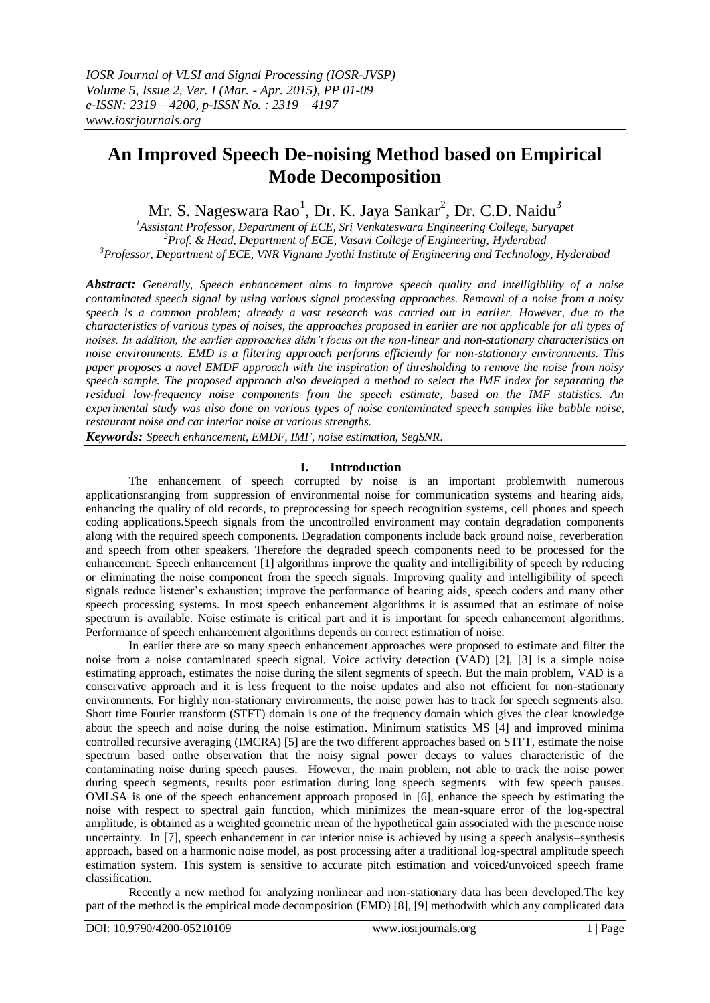# **An Improved Speech De-noising Method based on Empirical Mode Decomposition**

Mr. S. Nageswara Rao<sup>1</sup>, Dr. K. Jaya Sankar<sup>2</sup>, Dr. C.D. Naidu<sup>3</sup>

*<sup>1</sup>Assistant Professor, Department of ECE, Sri Venkateswara Engineering College, Suryapet <sup>2</sup>Prof. & Head, Department of ECE, Vasavi College of Engineering, Hyderabad <sup>3</sup>Professor, Department of ECE, VNR Vignana Jyothi Institute of Engineering and Technology, Hyderabad*

*Abstract: Generally, Speech enhancement aims to improve speech quality and intelligibility of a noise contaminated speech signal by using various signal processing approaches. Removal of a noise from a noisy speech is a common problem; already a vast research was carried out in earlier. However, due to the characteristics of various types of noises, the approaches proposed in earlier are not applicable for all types of noises. In addition, the earlier approaches didn't focus on the non-linear and non-stationary characteristics on noise environments. EMD is a filtering approach performs efficiently for non-stationary environments. This paper proposes a novel EMDF approach with the inspiration of thresholding to remove the noise from noisy speech sample. The proposed approach also developed a method to select the IMF index for separating the residual low-frequency noise components from the speech estimate, based on the IMF statistics. An experimental study was also done on various types of noise contaminated speech samples like babble noise, restaurant noise and car interior noise at various strengths.*

*Keywords: Speech enhancement, EMDF, IMF, noise estimation, SegSNR*.

# **I. Introduction**

The enhancement of speech corrupted by noise is an important problemwith numerous applicationsranging from suppression of environmental noise for communication systems and hearing aids, enhancing the quality of old records, to preprocessing for speech recognition systems, cell phones and speech coding applications.Speech signals from the uncontrolled environment may contain degradation components along with the required speech components. Degradation components include back ground noise, reverberation and speech from other speakers. Therefore the degraded speech components need to be processed for the enhancement. Speech enhancement [1] algorithms improve the quality and intelligibility of speech by reducing or eliminating the noise component from the speech signals. Improving quality and intelligibility of speech signals reduce listener's exhaustion; improve the performance of hearing aids, speech coders and many other speech processing systems. In most speech enhancement algorithms it is assumed that an estimate of noise spectrum is available. Noise estimate is critical part and it is important for speech enhancement algorithms. Performance of speech enhancement algorithms depends on correct estimation of noise.

In earlier there are so many speech enhancement approaches were proposed to estimate and filter the noise from a noise contaminated speech signal. Voice activity detection (VAD) [2], [3] is a simple noise estimating approach, estimates the noise during the silent segments of speech. But the main problem, VAD is a conservative approach and it is less frequent to the noise updates and also not efficient for non-stationary environments. For highly non-stationary environments, the noise power has to track for speech segments also. Short time Fourier transform (STFT) domain is one of the frequency domain which gives the clear knowledge about the speech and noise during the noise estimation. Minimum statistics MS [4] and improved minima controlled recursive averaging (IMCRA) [5] are the two different approaches based on STFT, estimate the noise spectrum based onthe observation that the noisy signal power decays to values characteristic of the contaminating noise during speech pauses. However, the main problem, not able to track the noise power during speech segments, results poor estimation during long speech segments with few speech pauses. OMLSA is one of the speech enhancement approach proposed in [6], enhance the speech by estimating the noise with respect to spectral gain function, which minimizes the mean-square error of the log-spectral amplitude, is obtained as a weighted geometric mean of the hypothetical gain associated with the presence noise uncertainty. In [7], speech enhancement in car interior noise is achieved by using a speech analysis–synthesis approach, based on a harmonic noise model, as post processing after a traditional log-spectral amplitude speech estimation system. This system is sensitive to accurate pitch estimation and voiced/unvoiced speech frame classification.

Recently a new method for analyzing nonlinear and non-stationary data has been developed.The key part of the method is the empirical mode decomposition (EMD) [8], [9] methodwith which any complicated data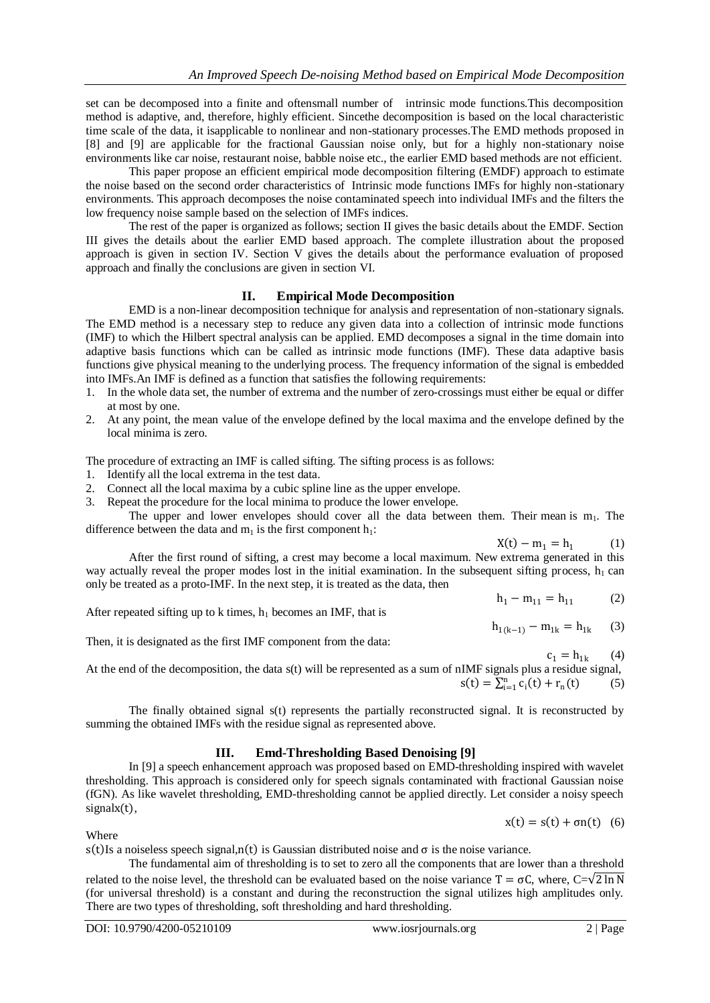set can be decomposed into a finite and oftensmall number of intrinsic mode functions.This decomposition method is adaptive, and, therefore, highly efficient. Sincethe decomposition is based on the local characteristic time scale of the data, it isapplicable to nonlinear and non-stationary processes.The EMD methods proposed in [8] and [9] are applicable for the fractional Gaussian noise only, but for a highly non-stationary noise environments like car noise, restaurant noise, babble noise etc., the earlier EMD based methods are not efficient.

This paper propose an efficient empirical mode decomposition filtering (EMDF) approach to estimate the noise based on the second order characteristics of Intrinsic mode functions IMFs for highly non-stationary environments. This approach decomposes the noise contaminated speech into individual IMFs and the filters the low frequency noise sample based on the selection of IMFs indices.

The rest of the paper is organized as follows; section II gives the basic details about the EMDF. Section III gives the details about the earlier EMD based approach. The complete illustration about the proposed approach is given in section IV. Section V gives the details about the performance evaluation of proposed approach and finally the conclusions are given in section VI.

# **II. Empirical Mode Decomposition**

EMD is a non-linear decomposition technique for analysis and representation of non-stationary signals. The EMD method is a necessary step to reduce any given data into a collection of intrinsic mode functions (IMF) to which the Hilbert spectral analysis can be applied. EMD decomposes a signal in the time domain into adaptive basis functions which can be called as intrinsic mode functions (IMF). These data adaptive basis functions give physical meaning to the underlying process. The frequency information of the signal is embedded into IMFs.An IMF is defined as a function that satisfies the following requirements:

- 1. In the whole data set, the number of extrema and the number of zero-crossings must either be equal or differ at most by one.
- 2. At any point, the mean value of the envelope defined by the local maxima and the envelope defined by the local minima is zero.

The procedure of extracting an IMF is called sifting. The sifting process is as follows:

- 1. Identify all the local extrema in the test data.
- 2. Connect all the local maxima by a cubic spline line as the upper envelope.
- 3. Repeat the procedure for the local minima to produce the lower envelope.

The upper and lower envelopes should cover all the data between them. Their mean is  $m_1$ . The difference between the data and  $m_1$  is the first component  $h_1$ :

 $X(t) - m_1 = h_1$  (1) After the first round of sifting, a crest may become a local maximum. New extrema generated in this way actually reveal the proper modes lost in the initial examination. In the subsequent sifting process,  $h_1$  can only be treated as a proto-IMF. In the next step, it is treated as the data, then

After repeated sifting up to k times,  $h_1$  becomes an IMF, that is

Then, it is designated as the first IMF component from the data:

At the end of the decomposition, the data s(t) will be represented as a sum of 
$$
nIMF
$$
 signals plus a residue signal,  
\n
$$
s(t) = \sum_{i=1}^{n} c_i(t) + r_n(t)
$$
\n(5)

The finally obtained signal s(t) represents the partially reconstructed signal. It is reconstructed by summing the obtained IMFs with the residue signal as represented above.

# **III. Emd-Thresholding Based Denoising [9]**

In [9] a speech enhancement approach was proposed based on EMD-thresholding inspired with wavelet thresholding. This approach is considered only for speech signals contaminated with fractional Gaussian noise (fGN). As like wavelet thresholding, EMD-thresholding cannot be applied directly. Let consider a noisy speech signalx(t),

 $x(t) = s(t) + \sigma n(t)$  (6)

# Where

s(t) Is a noiseless speech signal,n(t) is Gaussian distributed noise and  $\sigma$  is the noise variance.

The fundamental aim of thresholding is to set to zero all the components that are lower than a threshold related to the noise level, the threshold can be evaluated based on the noise variance  $T = \sigma C$ , where,  $C=\sqrt{2 \ln N}$ (for universal threshold) is a constant and during the reconstruction the signal utilizes high amplitudes only. There are two types of thresholding, soft thresholding and hard thresholding.

 $c_1 = h_{1k}$  $(4)$ 

(3)

 $h_1 - m_{11} = h_{11}$  (2)

 $h_{1(k-1)} - m_{1k} = h_{1k}$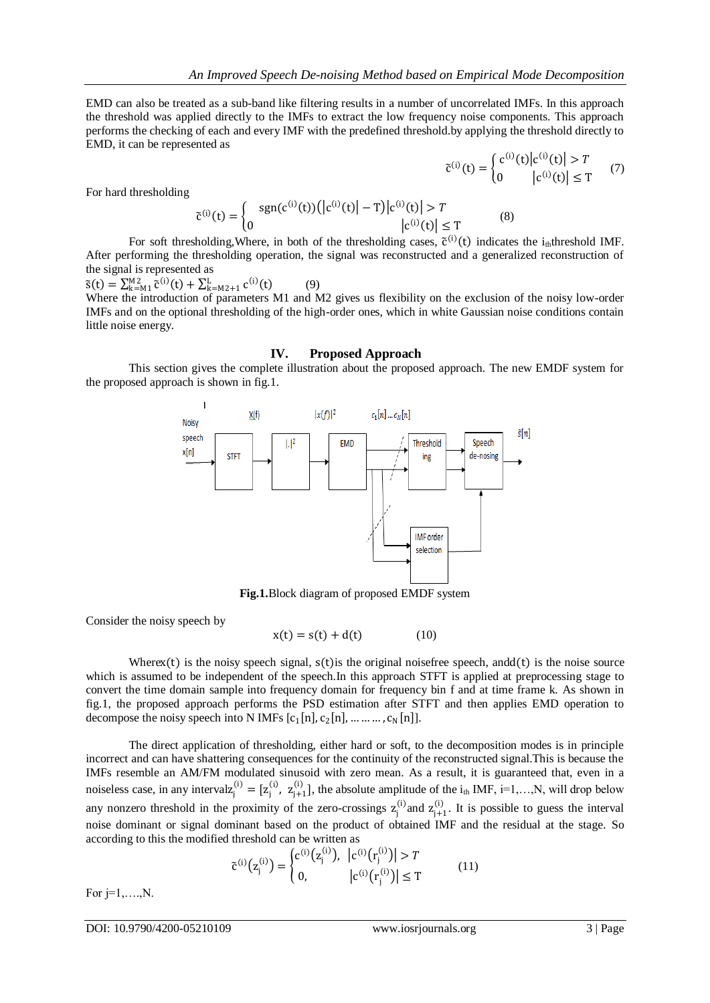EMD can also be treated as a sub-band like filtering results in a number of uncorrelated IMFs. In this approach the threshold was applied directly to the IMFs to extract the low frequency noise components. This approach performs the checking of each and every IMF with the predefined threshold.by applying the threshold directly to EMD, it can be represented as

$$
\tilde{c}^{(i)}(t) = \begin{cases} c^{(i)}(t) |c^{(i)}(t)| > T \\ 0 |c^{(i)}(t)| \le T \end{cases} (7)
$$

For hard thresholding

$$
\tilde{c}^{(i)}(t) = \begin{cases} \operatorname{sgn}(c^{(i)}(t)) (|c^{(i)}(t)| - T) |c^{(i)}(t)| > T \\ 0 & |c^{(i)}(t)| \le T \end{cases} (8)
$$

For soft thresholding, Where, in both of the thresholding cases,  $\tilde{c}^{(i)}(t)$  indicates the i<sub>th</sub>threshold IMF. After performing the thresholding operation, the signal was reconstructed and a generalized reconstruction of the signal is represented as

 $\tilde{s}(t) = \sum_{k=M_1}^{M_2} \tilde{c}^{(i)}(t) + \sum_{k=M_2+1}^{L} c^{(i)}(t)$ (9)

Where the introduction of parameters M1 and M2 gives us flexibility on the exclusion of the noisy low-order IMFs and on the optional thresholding of the high-order ones, which in white Gaussian noise conditions contain little noise energy.

#### **IV. Proposed Approach**

This section gives the complete illustration about the proposed approach. The new EMDF system for the proposed approach is shown in fig.1.



**Fig.1.**Block diagram of proposed EMDF system

Consider the noisy speech by

$$
x(t) = s(t) + d(t) \tag{10}
$$

Wherex(t) is the noisy speech signal,  $s(t)$  is the original noisefree speech, and  $d(t)$  is the noise source which is assumed to be independent of the speech. In this approach STFT is applied at preprocessing stage to convert the time domain sample into frequency domain for frequency bin f and at time frame k. As shown in fig.1, the proposed approach performs the PSD estimation after STFT and then applies EMD operation to decompose the noisy speech into N IMFs  $[c_1[n], c_2[n], \dots \dots \dots, c_N[n]]$ .

The direct application of thresholding, either hard or soft, to the decomposition modes is in principle incorrect and can have shattering consequences for the continuity of the reconstructed signal.This is because the IMFs resemble an AM/FM modulated sinusoid with zero mean. As a result, it is guaranteed that, even in a noiseless case, in any interval $z_j^{(i)} = [z_j^{(i)}, z_{j+1}^{(i)}]$ , the absolute amplitude of the  $i_{th}$  IMF,  $i=1,...,N$ , will drop below any nonzero threshold in the proximity of the zero-crossings  $z_j^{(i)}$  and  $z_{j+1}^{(i)}$ . It is possible to guess the interval noise dominant or signal dominant based on the product of obtained IMF and the residual at the stage. So according to this the modified threshold can be written as

$$
\tilde{c}^{(i)}(z_j^{(i)}) = \begin{cases} c^{(i)}(z_j^{(i)}), & |c^{(i)}(r_j^{(i)})| > T \\ 0, & |c^{(i)}(r_j^{(i)})| \le T \end{cases} \tag{11}
$$

For  $j=1,\ldots,N$ .

DOI: 10.9790/4200-05210109 www.iosrjournals.org 3 | Page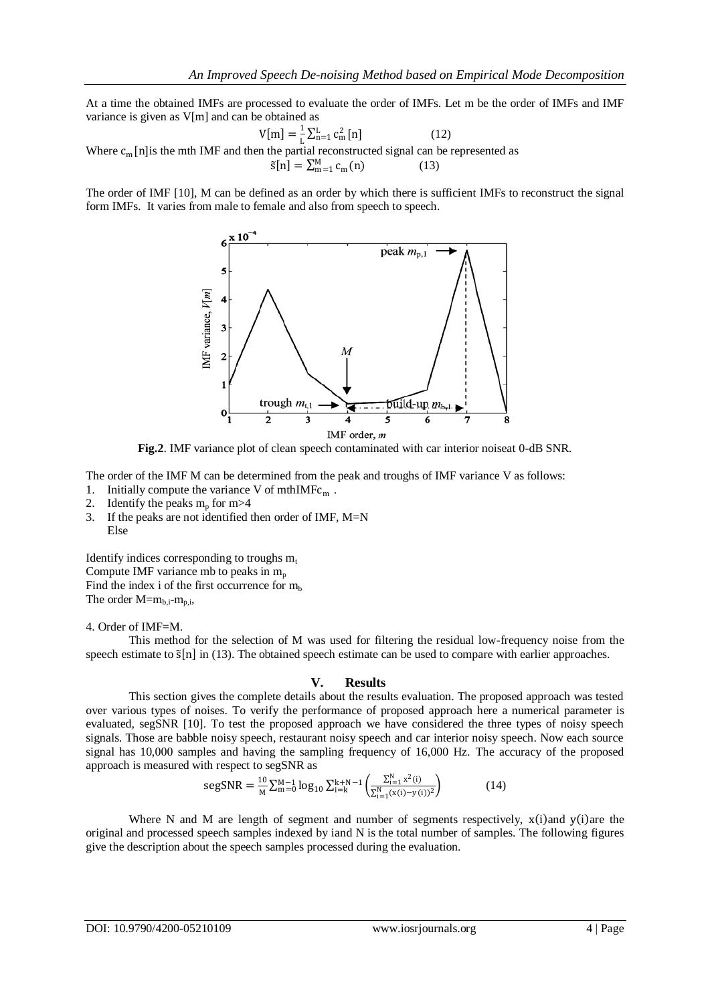At a time the obtained IMFs are processed to evaluate the order of IMFs. Let m be the order of IMFs and IMF variance is given as V[m] and can be obtained as

$$
V[m] = \frac{1}{L} \sum_{n=1}^{L} c_m^2 [n] \tag{12}
$$
  
Where  $c_m$  [n] is the mth IMF and then the partial reconstructed signal can be represented as  

$$
\tilde{s}[n] = \sum_{m=1}^{M} c_m(n) \tag{13}
$$

The order of IMF [10], M can be defined as an order by which there is sufficient IMFs to reconstruct the signal form IMFs. It varies from male to female and also from speech to speech.



**Fig.2**. IMF variance plot of clean speech contaminated with car interior noiseat 0-dB SNR.

The order of the IMF M can be determined from the peak and troughs of IMF variance V as follows:

- 1. Initially compute the variance V of mth $IMFc_m$ .
- 2. Identify the peaks  $m_p$  for  $m > 4$
- 3. If the peaks are not identified then order of IMF,  $M=N$ Else

Identify indices corresponding to troughs  $m_t$ Compute IMF variance mb to peaks in  $m_p$ Find the index i of the first occurrence for  $m_b$ The order  $M = m_{b,i}-m_{p,i}$ ,

## 4. Order of IMF=M.

This method for the selection of M was used for filtering the residual low-frequency noise from the speech estimate to  $\tilde{s}[n]$  in (13). The obtained speech estimate can be used to compare with earlier approaches.

# **V. Results**

This section gives the complete details about the results evaluation. The proposed approach was tested over various types of noises. To verify the performance of proposed approach here a numerical parameter is evaluated, segSNR [10]. To test the proposed approach we have considered the three types of noisy speech signals. Those are babble noisy speech, restaurant noisy speech and car interior noisy speech. Now each source signal has 10,000 samples and having the sampling frequency of 16,000 Hz. The accuracy of the proposed approach is measured with respect to segSNR as

$$
segSNR = \frac{10}{M} \sum_{m=0}^{M-1} \log_{10} \sum_{i=k}^{k+N-1} \left( \frac{\sum_{i=1}^{N} x^2(i)}{\sum_{i=1}^{N} (x(i) - y(i))^2} \right)
$$
(14)

Where N and M are length of segment and number of segments respectively,  $x(i)$  and  $y(i)$  are the original and processed speech samples indexed by iand N is the total number of samples. The following figures give the description about the speech samples processed during the evaluation.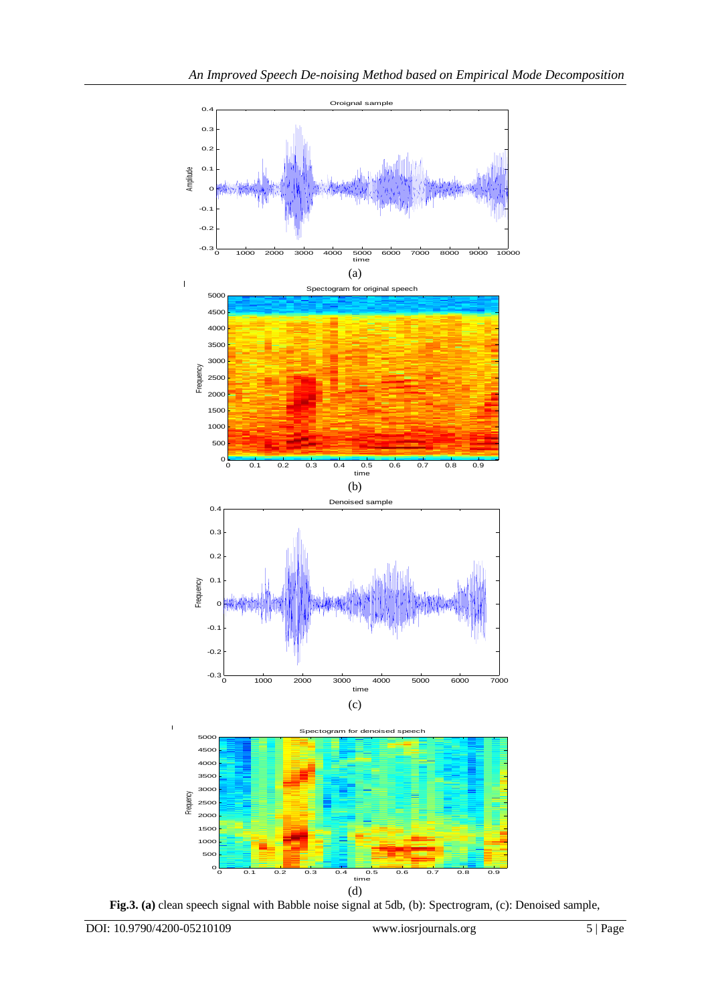

**Fig.3. (a)** clean speech signal with Babble noise signal at 5db, (b): Spectrogram, (c): Denoised sample,

 $\overline{1}$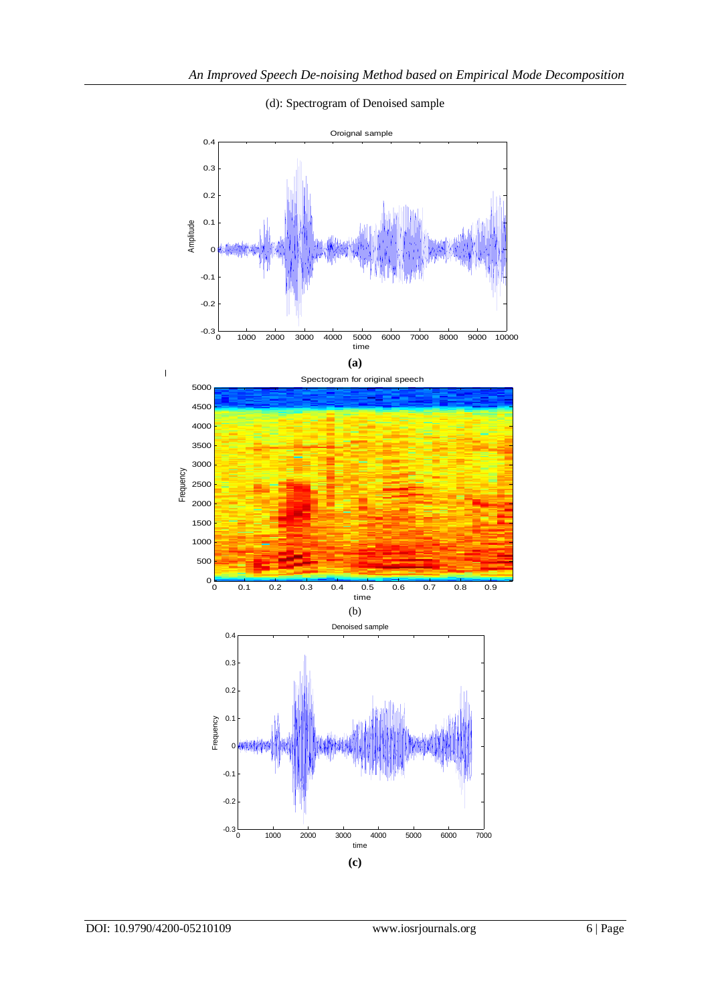

(d): Spectrogram of Denoised sample



 $\begin{array}{c} \begin{array}{c} \hline \end{array} \end{array}$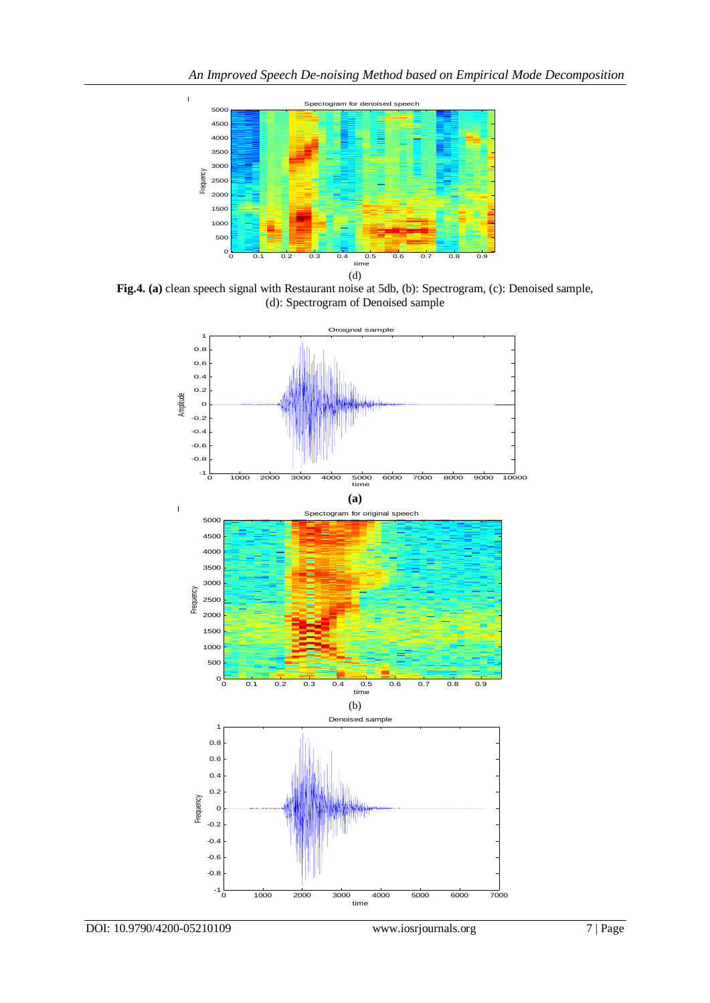

 $\overline{1}$ 

**Fig.4. (a)** clean speech signal with Restaurant noise at 5db, (b): Spectrogram, (c): Denoised sample, (d): Spectrogram of Denoised sample

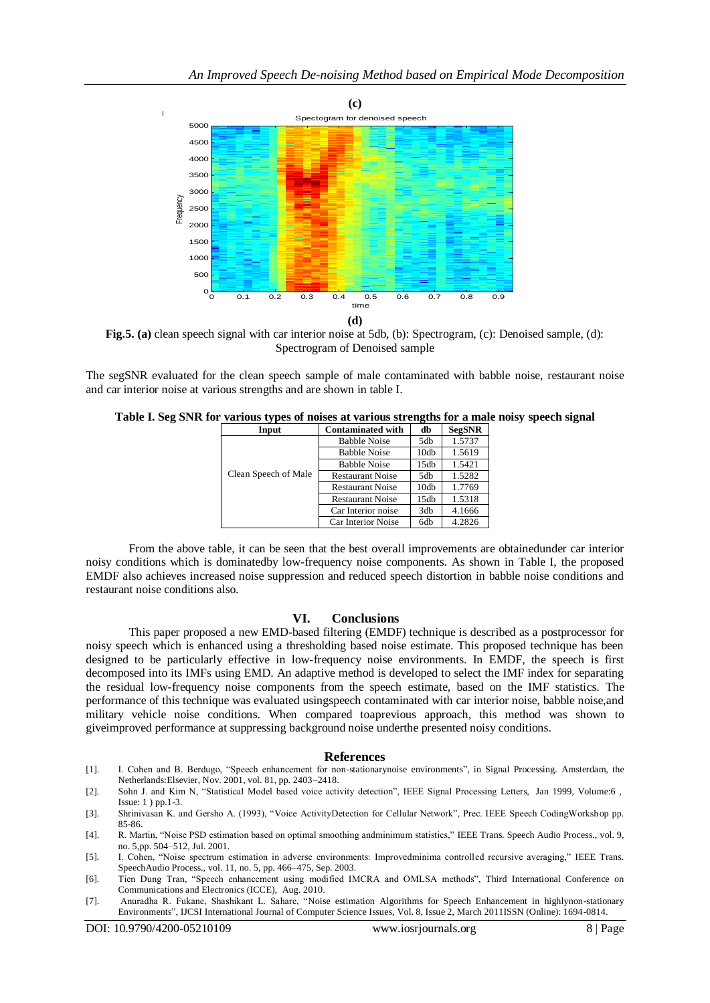

**Fig.5. (a)** clean speech signal with car interior noise at 5db, (b): Spectrogram, (c): Denoised sample, (d): Spectrogram of Denoised sample

The segSNR evaluated for the clean speech sample of male contaminated with babble noise, restaurant noise and car interior noise at various strengths and are shown in table I.

|  |  |  |  |  | Table I. Seg SNR for various types of noises at various strengths for a male noisy speech signal |  |
|--|--|--|--|--|--------------------------------------------------------------------------------------------------|--|
|--|--|--|--|--|--------------------------------------------------------------------------------------------------|--|

| Input                | <b>Contaminated with</b> | -<br>db | <b>SegSNR</b> |
|----------------------|--------------------------|---------|---------------|
|                      | <b>Babble Noise</b>      | 5db     | 1.5737        |
|                      | <b>Babble Noise</b>      | 10db    | 1.5619        |
|                      | <b>Babble Noise</b>      | 15db    | 1.5421        |
| Clean Speech of Male | <b>Restaurant Noise</b>  | 5db     | 1.5282        |
|                      | <b>Restaurant Noise</b>  | 10db    | 1.7769        |
|                      | <b>Restaurant Noise</b>  | 15db    | 1.5318        |
|                      | Car Interior noise       | 3db     | 4.1666        |
|                      | Car Interior Noise       | 6db     | 4.2826        |

From the above table, it can be seen that the best overall improvements are obtainedunder car interior noisy conditions which is dominatedby low-frequency noise components. As shown in Table I, the proposed EMDF also achieves increased noise suppression and reduced speech distortion in babble noise conditions and restaurant noise conditions also.

## **VI. Conclusions**

This paper proposed a new EMD-based filtering (EMDF) technique is described as a postprocessor for noisy speech which is enhanced using a thresholding based noise estimate. This proposed technique has been designed to be particularly effective in low-frequency noise environments. In EMDF, the speech is first decomposed into its IMFs using EMD. An adaptive method is developed to select the IMF index for separating the residual low-frequency noise components from the speech estimate, based on the IMF statistics. The performance of this technique was evaluated usingspeech contaminated with car interior noise, babble noise,and military vehicle noise conditions. When compared toaprevious approach, this method was shown to giveimproved performance at suppressing background noise underthe presented noisy conditions.

### **References**

- [1]. I. Cohen and B. Berdugo, "Speech enhancement for non-stationarynoise environments", in Signal Processing. Amsterdam, the Netherlands:Elsevier, Nov. 2001, vol. 81, pp. 2403–2418.
- [2]. Sohn J. and Kim N, "Statistical Model based voice activity detection", IEEE Signal Processing Letters, Jan 1999, Volume:6 , Issue: 1 ) pp.1-3.
- [3]. Shrinivasan K. and Gersho A. (1993), "Voice ActivityDetection for Cellular Network", Prec. IEEE Speech CodingWorkshop pp. 85-86.
- [4]. R. Martin, "Noise PSD estimation based on optimal smoothing andminimum statistics," IEEE Trans. Speech Audio Process., vol. 9, no. 5,pp. 504–512, Jul. 2001.
- [5]. I. Cohen, "Noise spectrum estimation in adverse environments: Improvedminima controlled recursive averaging," IEEE Trans. SpeechAudio Process., vol. 11, no. 5, pp. 466–475, Sep. 2003.
- [6]. Tien Dung Tran, "Speech enhancement using modified IMCRA and OMLSA methods", Third International Conference on Communications and Electronics (ICCE), Aug. 2010.
- [7]. Anuradha R. Fukane, Shashikant L. Sahare, "Noise estimation Algorithms for Speech Enhancement in highlynon-stationary Environments", IJCSI International Journal of Computer Science Issues, Vol. 8, Issue 2, March 2011ISSN (Online): 1694-0814.

 $\overline{1}$